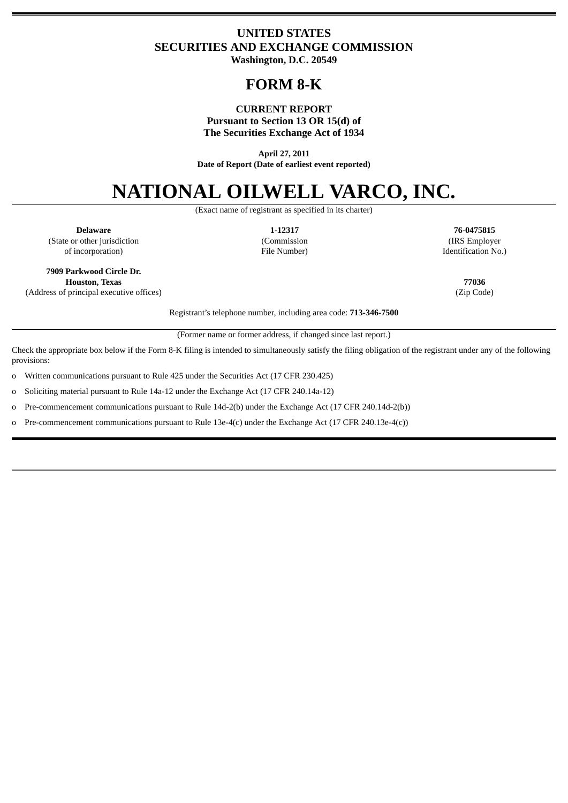# **UNITED STATES SECURITIES AND EXCHANGE COMMISSION Washington, D.C. 20549**

# **FORM 8-K**

#### **CURRENT REPORT Pursuant to Section 13 OR 15(d) of The Securities Exchange Act of 1934**

**April 27, 2011 Date of Report (Date of earliest event reported)**

# **NATIONAL OILWELL VARCO, INC.**

(Exact name of registrant as specified in its charter)

(State or other jurisdiction (Commission (IRS Employer

**Delaware 1-12317 76-0475815** of incorporation) File Number) Identification No.)

**7909 Parkwood Circle Dr. Houston, Texas 77036**

(Address of principal executive offices) (Zip Code)

Registrant's telephone number, including area code: **713-346-7500**

(Former name or former address, if changed since last report.)

Check the appropriate box below if the Form 8-K filing is intended to simultaneously satisfy the filing obligation of the registrant under any of the following provisions:

o Written communications pursuant to Rule 425 under the Securities Act (17 CFR 230.425)

o Soliciting material pursuant to Rule 14a-12 under the Exchange Act (17 CFR 240.14a-12)

o Pre-commencement communications pursuant to Rule 14d-2(b) under the Exchange Act (17 CFR 240.14d-2(b))

o Pre-commencement communications pursuant to Rule 13e-4(c) under the Exchange Act (17 CFR 240.13e-4(c))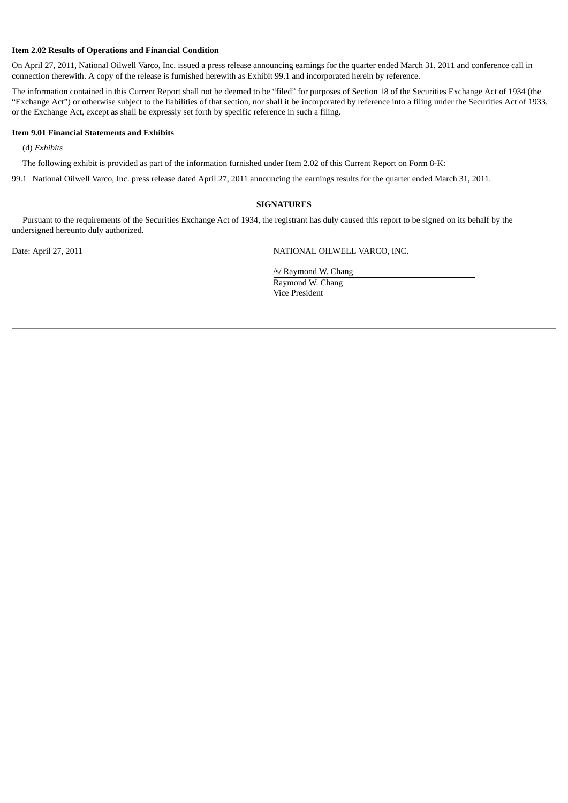#### **Item 2.02 Results of Operations and Financial Condition**

On April 27, 2011, National Oilwell Varco, Inc. issued a press release announcing earnings for the quarter ended March 31, 2011 and conference call in connection therewith. A copy of the release is furnished herewith as Exhibit 99.1 and incorporated herein by reference.

The information contained in this Current Report shall not be deemed to be "filed" for purposes of Section 18 of the Securities Exchange Act of 1934 (the "Exchange Act") or otherwise subject to the liabilities of that section, nor shall it be incorporated by reference into a filing under the Securities Act of 1933, or the Exchange Act, except as shall be expressly set forth by specific reference in such a filing.

#### **Item 9.01 Financial Statements and Exhibits**

(d) *Exhibits*

The following exhibit is provided as part of the information furnished under Item 2.02 of this Current Report on Form 8-K:

99.1 National Oilwell Varco, Inc. press release dated April 27, 2011 announcing the earnings results for the quarter ended March 31, 2011.

#### **SIGNATURES**

Pursuant to the requirements of the Securities Exchange Act of 1934, the registrant has duly caused this report to be signed on its behalf by the undersigned hereunto duly authorized.

Date: April 27, 2011 NATIONAL OILWELL VARCO, INC.

/s/ Raymond W. Chang Raymond W. Chang Vice President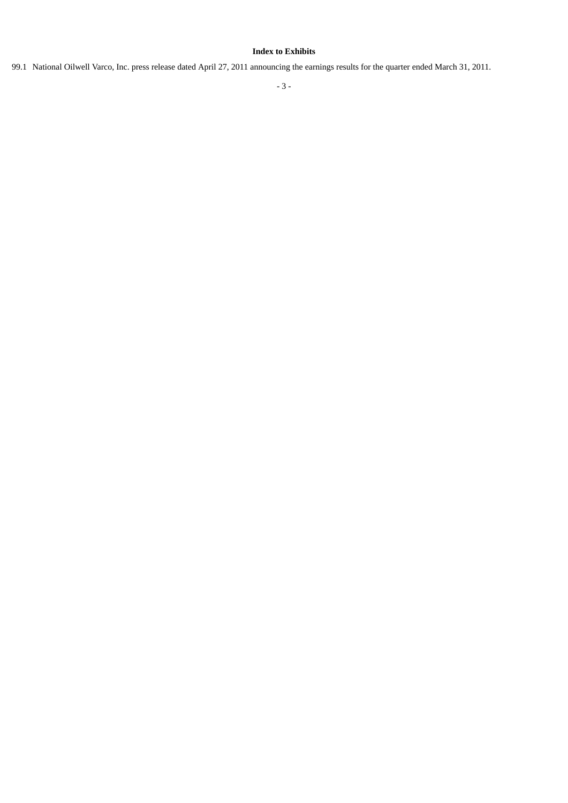### **Index to Exhibits**

99.1 National Oilwell Varco, Inc. press release dated April 27, 2011 announcing the earnings results for the quarter ended March 31, 2011.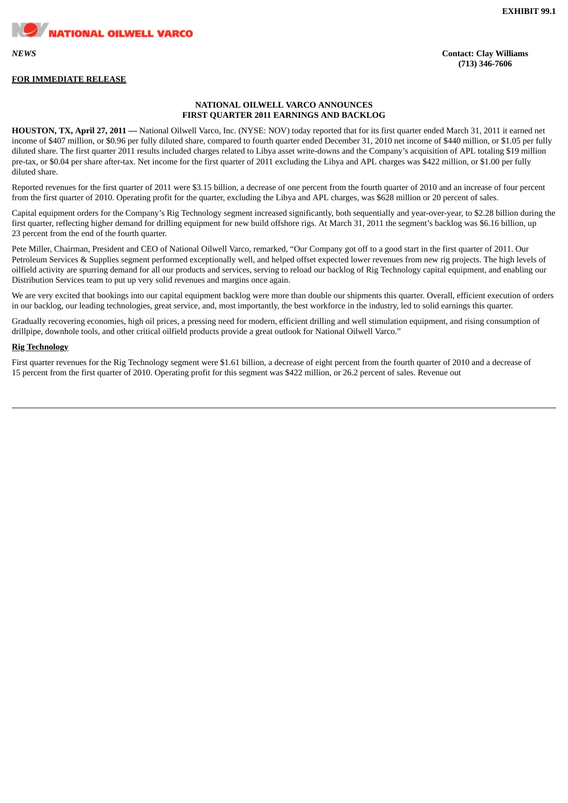**NATIONAL OILWELL VARCO** 

## **FOR IMMEDIATE RELEASE**

*NEWS* **Contact: Clay Williams (713) 346-7606**

#### **NATIONAL OILWELL VARCO ANNOUNCES FIRST QUARTER 2011 EARNINGS AND BACKLOG**

**HOUSTON, TX, April 27, 2011 —** National Oilwell Varco, Inc. (NYSE: NOV) today reported that for its first quarter ended March 31, 2011 it earned net income of \$407 million, or \$0.96 per fully diluted share, compared to fourth quarter ended December 31, 2010 net income of \$440 million, or \$1.05 per fully diluted share. The first quarter 2011 results included charges related to Libya asset write-downs and the Company's acquisition of APL totaling \$19 million pre-tax, or \$0.04 per share after-tax. Net income for the first quarter of 2011 excluding the Libya and APL charges was \$422 million, or \$1.00 per fully diluted share.

Reported revenues for the first quarter of 2011 were \$3.15 billion, a decrease of one percent from the fourth quarter of 2010 and an increase of four percent from the first quarter of 2010. Operating profit for the quarter, excluding the Libya and APL charges, was \$628 million or 20 percent of sales.

Capital equipment orders for the Company's Rig Technology segment increased significantly, both sequentially and year-over-year, to \$2.28 billion during the first quarter, reflecting higher demand for drilling equipment for new build offshore rigs. At March 31, 2011 the segment's backlog was \$6.16 billion, up 23 percent from the end of the fourth quarter.

Pete Miller, Chairman, President and CEO of National Oilwell Varco, remarked, "Our Company got off to a good start in the first quarter of 2011. Our Petroleum Services & Supplies segment performed exceptionally well, and helped offset expected lower revenues from new rig projects. The high levels of oilfield activity are spurring demand for all our products and services, serving to reload our backlog of Rig Technology capital equipment, and enabling our Distribution Services team to put up very solid revenues and margins once again.

We are very excited that bookings into our capital equipment backlog were more than double our shipments this quarter. Overall, efficient execution of orders in our backlog, our leading technologies, great service, and, most importantly, the best workforce in the industry, led to solid earnings this quarter.

Gradually recovering economies, high oil prices, a pressing need for modern, efficient drilling and well stimulation equipment, and rising consumption of drillpipe, downhole tools, and other critical oilfield products provide a great outlook for National Oilwell Varco."

#### **Rig Technology**

First quarter revenues for the Rig Technology segment were \$1.61 billion, a decrease of eight percent from the fourth quarter of 2010 and a decrease of 15 percent from the first quarter of 2010. Operating profit for this segment was \$422 million, or 26.2 percent of sales. Revenue out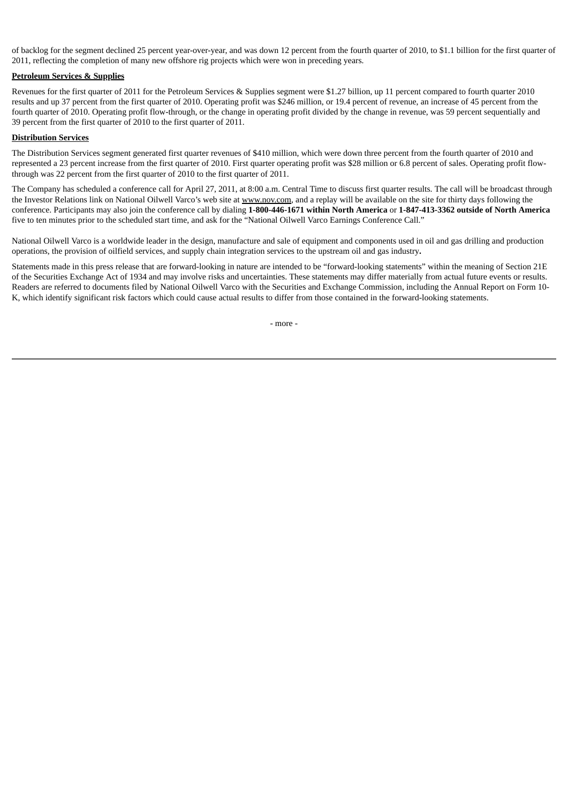of backlog for the segment declined 25 percent year-over-year, and was down 12 percent from the fourth quarter of 2010, to \$1.1 billion for the first quarter of 2011, reflecting the completion of many new offshore rig projects which were won in preceding years.

#### **Petroleum Services & Supplies**

Revenues for the first quarter of 2011 for the Petroleum Services & Supplies segment were \$1.27 billion, up 11 percent compared to fourth quarter 2010 results and up 37 percent from the first quarter of 2010. Operating profit was \$246 million, or 19.4 percent of revenue, an increase of 45 percent from the fourth quarter of 2010. Operating profit flow-through, or the change in operating profit divided by the change in revenue, was 59 percent sequentially and 39 percent from the first quarter of 2010 to the first quarter of 2011.

#### **Distribution Services**

The Distribution Services segment generated first quarter revenues of \$410 million, which were down three percent from the fourth quarter of 2010 and represented a 23 percent increase from the first quarter of 2010. First quarter operating profit was \$28 million or 6.8 percent of sales. Operating profit flowthrough was 22 percent from the first quarter of 2010 to the first quarter of 2011.

The Company has scheduled a conference call for April 27, 2011, at 8:00 a.m. Central Time to discuss first quarter results. The call will be broadcast through the Investor Relations link on National Oilwell Varco's web site at www.nov.com, and a replay will be available on the site for thirty days following the conference. Participants may also join the conference call by dialing **1-800-446-1671 within North America** or **1-847-413-3362 outside of North America** five to ten minutes prior to the scheduled start time, and ask for the "National Oilwell Varco Earnings Conference Call."

National Oilwell Varco is a worldwide leader in the design, manufacture and sale of equipment and components used in oil and gas drilling and production operations, the provision of oilfield services, and supply chain integration services to the upstream oil and gas industry**.**

Statements made in this press release that are forward-looking in nature are intended to be "forward-looking statements" within the meaning of Section 21E of the Securities Exchange Act of 1934 and may involve risks and uncertainties. These statements may differ materially from actual future events or results. Readers are referred to documents filed by National Oilwell Varco with the Securities and Exchange Commission, including the Annual Report on Form 10- K, which identify significant risk factors which could cause actual results to differ from those contained in the forward-looking statements.

- more -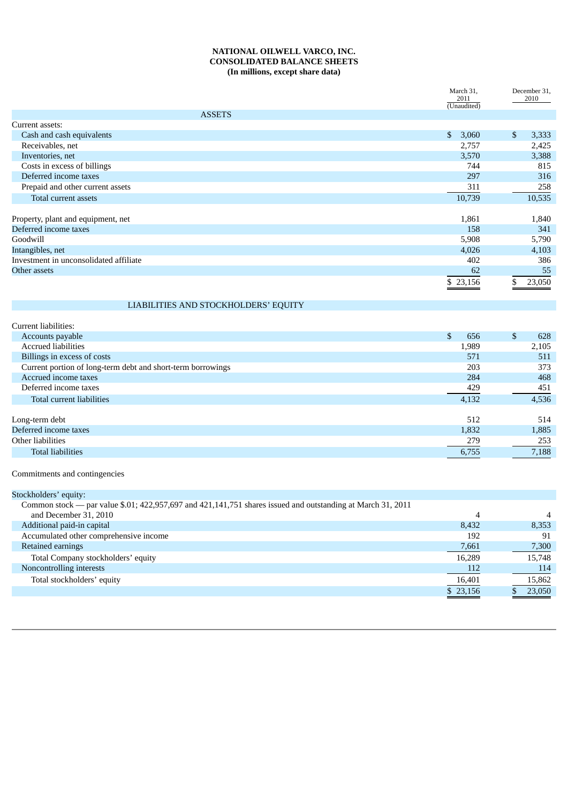#### **NATIONAL OILWELL VARCO, INC. CONSOLIDATED BALANCE SHEETS (In millions, except share data)**

|                                        | 2011                  | March 31,<br>December 31,<br>2010<br>(Unaudited) |        |
|----------------------------------------|-----------------------|--------------------------------------------------|--------|
| <b>ASSETS</b>                          |                       |                                                  |        |
| Current assets:                        |                       |                                                  |        |
| Cash and cash equivalents              | $\mathbb{S}$<br>3,060 | \$                                               | 3,333  |
| Receivables, net                       | 2,757                 |                                                  | 2,425  |
| Inventories, net                       | 3,570                 |                                                  | 3,388  |
| Costs in excess of billings            | 744                   |                                                  | 815    |
| Deferred income taxes                  | 297                   |                                                  | 316    |
| Prepaid and other current assets       | 311                   |                                                  | 258    |
| Total current assets                   | 10,739                |                                                  | 10,535 |
|                                        |                       |                                                  |        |
| Property, plant and equipment, net     | 1,861                 |                                                  | 1,840  |
| Deferred income taxes                  | 158                   |                                                  | 341    |
| Goodwill                               | 5,908                 |                                                  | 5,790  |
| Intangibles, net                       | 4,026                 |                                                  | 4,103  |
| Investment in unconsolidated affiliate | 402                   |                                                  | 386    |
| Other assets                           | 62                    |                                                  | 55     |
|                                        | \$23,156              | \$                                               | 23,050 |

# LIABILITIES AND STOCKHOLDERS' EQUITY

| Current liabilities:                                        |           |           |
|-------------------------------------------------------------|-----------|-----------|
| Accounts payable                                            | \$<br>656 | \$<br>628 |
| <b>Accrued liabilities</b>                                  | 1,989     | 2,105     |
| Billings in excess of costs                                 | 571       | 511       |
| Current portion of long-term debt and short-term borrowings | 203       | 373       |
| Accrued income taxes                                        | 284       | 468       |
| Deferred income taxes                                       | 429       | 451       |
| Total current liabilities                                   | 4,132     | 4,536     |
|                                                             |           |           |
| Long-term debt                                              | 512       | 514       |
| Deferred income taxes                                       | 1,832     | 1,885     |
| Other liabilities                                           | 279       | 253       |
| <b>Total liabilities</b>                                    | 6,755     | 7,188     |
|                                                             |           |           |

Commitments and contingencies

| Stockholders' equity:                                                                                       |          |                |
|-------------------------------------------------------------------------------------------------------------|----------|----------------|
| Common stock - par value \$.01; 422,957,697 and 421,141,751 shares issued and outstanding at March 31, 2011 |          |                |
| and December 31, 2010                                                                                       | 4        | $\overline{4}$ |
| Additional paid-in capital                                                                                  | 8.432    | 8,353          |
| Accumulated other comprehensive income                                                                      | 192      | 91             |
| Retained earnings                                                                                           | 7,661    | 7,300          |
| Total Company stockholders' equity                                                                          | 16.289   | 15,748         |
| Noncontrolling interests                                                                                    | 112      | 114            |
| Total stockholders' equity                                                                                  | 16,401   | 15,862         |
|                                                                                                             | \$23,156 | 23,050         |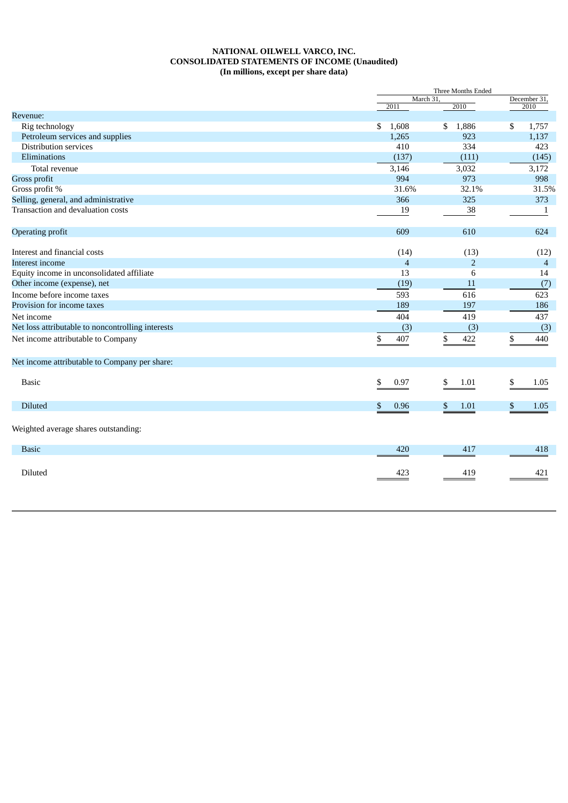#### **NATIONAL OILWELL VARCO, INC. CONSOLIDATED STATEMENTS OF INCOME (Unaudited) (In millions, except per share data)**

|                                                   | Three Months Ended       |                |                      |  |
|---------------------------------------------------|--------------------------|----------------|----------------------|--|
|                                                   | March 31,<br>2011        | 2010           | December 31,<br>2010 |  |
| Revenue:                                          |                          |                |                      |  |
| Rig technology                                    | \$<br>1,608              | 1,886<br>\$    | \$<br>1,757          |  |
| Petroleum services and supplies                   | 1,265                    | 923            | 1,137                |  |
| Distribution services                             | 410                      | 334            | 423                  |  |
| Eliminations                                      | (137)                    | (111)          | (145)                |  |
| Total revenue                                     | 3,146                    | 3,032          | 3,172                |  |
| Gross profit                                      | 994                      | 973            | 998                  |  |
| Gross profit %                                    | 31.6%                    | 32.1%          | 31.5%                |  |
| Selling, general, and administrative              | 366                      | 325            | 373                  |  |
| Transaction and devaluation costs                 | 19                       | 38             | 1                    |  |
| Operating profit                                  | 609                      | 610            | 624                  |  |
| Interest and financial costs                      | (14)                     | (13)           | (12)                 |  |
| Interest income                                   | $\overline{\mathcal{A}}$ | $\overline{2}$ | $\overline{4}$       |  |
| Equity income in unconsolidated affiliate         | 13                       | 6              | 14                   |  |
| Other income (expense), net                       | (19)                     | 11             | (7)                  |  |
| Income before income taxes                        | 593                      | 616            | 623                  |  |
| Provision for income taxes                        | 189                      | 197            | 186                  |  |
| Net income                                        | 404                      | 419            | 437                  |  |
| Net loss attributable to noncontrolling interests | (3)                      | (3)            | (3)                  |  |
| Net income attributable to Company                | \$<br>407                | 422<br>\$      | \$<br>440            |  |
| Net income attributable to Company per share:     |                          |                |                      |  |
| <b>Basic</b>                                      | \$<br>0.97               | \$<br>1.01     | \$<br>1.05           |  |
| Diluted                                           | \$<br>0.96               | \$<br>1.01     | \$<br>1.05           |  |
| Weighted average shares outstanding:              |                          |                |                      |  |
| <b>Basic</b>                                      | 420                      | 417            | 418                  |  |
| Diluted                                           | 423                      | 419            | 421                  |  |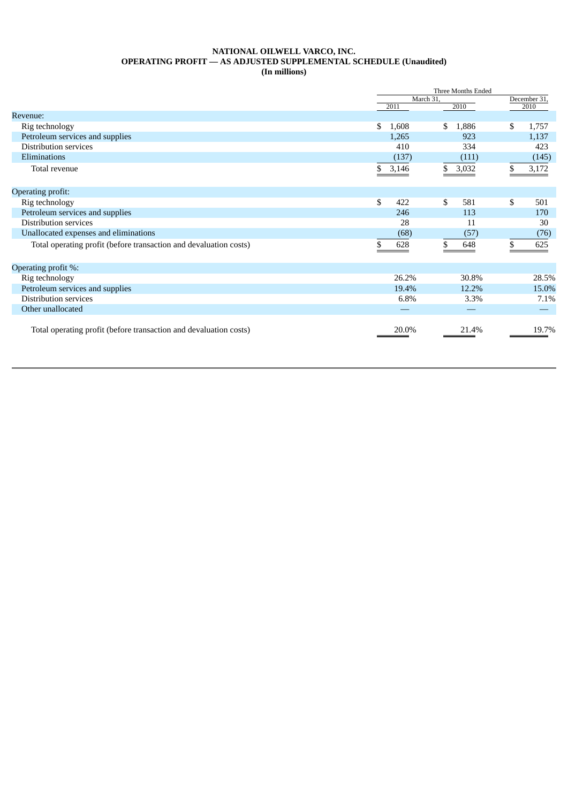# **NATIONAL OILWELL VARCO, INC. OPERATING PROFIT — AS ADJUSTED SUPPLEMENTAL SCHEDULE (Unaudited)**

**(In millions)**

|                                                                   |              | Three Months Ended |       |              |       |
|-------------------------------------------------------------------|--------------|--------------------|-------|--------------|-------|
|                                                                   |              | March 31.          |       | December 31, |       |
|                                                                   | 2011         |                    | 2010  |              | 2010  |
| Revenue:                                                          |              |                    |       |              |       |
| Rig technology                                                    | \$.          | 1,608<br>\$        | 1,886 | \$           | 1,757 |
| Petroleum services and supplies                                   |              | 1,265              | 923   |              | 1,137 |
| Distribution services                                             |              | 410                | 334   |              | 423   |
| Eliminations                                                      |              | (137)              | (111) |              | (145) |
| Total revenue                                                     | 3,146<br>\$. | \$                 | 3,032 |              | 3,172 |
|                                                                   |              |                    |       |              |       |
| Operating profit:                                                 |              |                    |       |              |       |
| Rig technology                                                    | \$           | \$<br>422          | 581   | \$           | 501   |
| Petroleum services and supplies                                   |              | 246                | 113   |              | 170   |
| Distribution services                                             |              | 28                 | 11    |              | 30    |
| Unallocated expenses and eliminations                             |              | (68)               | (57)  |              | (76)  |
| Total operating profit (before transaction and devaluation costs) |              | 628                | 648   | \$           | 625   |
|                                                                   |              |                    |       |              |       |
| Operating profit %:                                               |              |                    |       |              |       |
| Rig technology                                                    |              | 26.2%              | 30.8% |              | 28.5% |
| Petroleum services and supplies                                   |              | 19.4%              | 12.2% |              | 15.0% |
| Distribution services                                             |              | 6.8%               | 3.3%  |              | 7.1%  |
| Other unallocated                                                 |              |                    |       |              |       |
|                                                                   |              |                    |       |              |       |
| Total operating profit (before transaction and devaluation costs) |              | 20.0%              | 21.4% |              | 19.7% |
|                                                                   |              |                    |       |              |       |